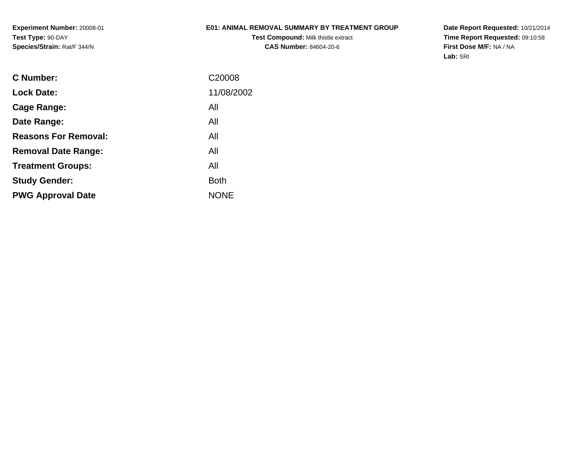**Experiment Number:** 20008-01**Test Type:** 90-DAY**Species/Strain:** Rat/F 344/N

### **E01: ANIMAL REMOVAL SUMMARY BY TREATMENT GROUP**

**Test Compound:** Milk thistle extract**CAS Number:** 84604-20-6

**Date Report Requested:** 10/21/2014 **Time Report Requested:** 09:10:58**First Dose M/F:** NA / NA**Lab:** SRI

| <b>C</b> Number:            | C20008      |
|-----------------------------|-------------|
| <b>Lock Date:</b>           | 11/08/2002  |
| Cage Range:                 | All         |
| Date Range:                 | All         |
| <b>Reasons For Removal:</b> | All         |
| <b>Removal Date Range:</b>  | All         |
| <b>Treatment Groups:</b>    | All         |
| <b>Study Gender:</b>        | Both        |
| <b>PWG Approval Date</b>    | <b>NONE</b> |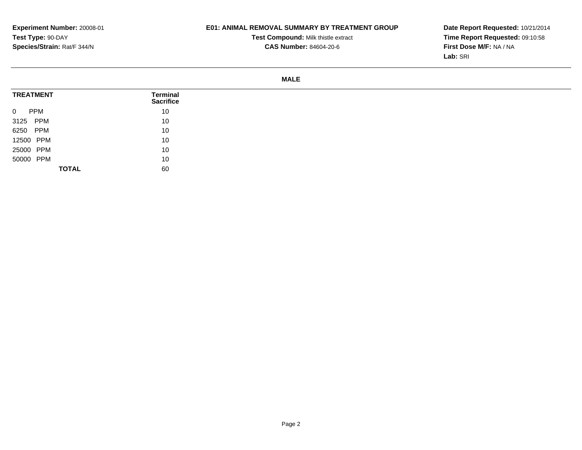# **E01: ANIMAL REMOVAL SUMMARY BY TREATMENT GROUP**

**Test Compound:** Milk thistle extract**CAS Number:** 84604-20-6

**Date Report Requested:** 10/21/2014 **Time Report Requested:** 09:10:58**First Dose M/F:** NA / NA**Lab:** SRI

#### **MALE**

| <b>TREATMENT</b>             | <b>Terminal</b><br><b>Sacrifice</b> |
|------------------------------|-------------------------------------|
| $\overline{0}$<br><b>PPM</b> | 10                                  |
| 3125 PPM                     | 10                                  |
| 6250 PPM                     | 10                                  |
| 12500 PPM                    | 10                                  |
| 25000 PPM                    | 10                                  |
| 50000 PPM                    | 10                                  |
| <b>TOTAL</b>                 | 60                                  |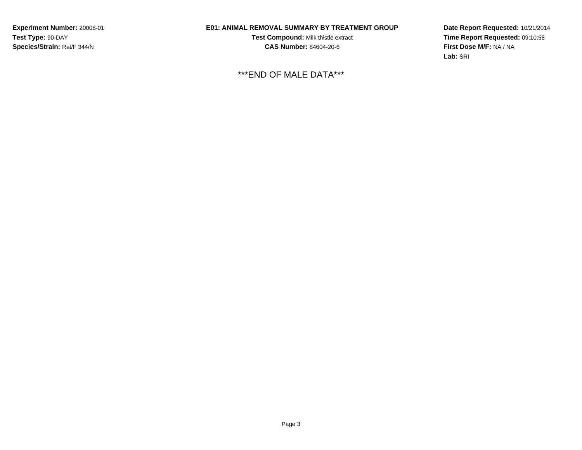**Experiment Number:** 20008-01**Test Type:** 90-DAY**Species/Strain:** Rat/F 344/N

# **E01: ANIMAL REMOVAL SUMMARY BY TREATMENT GROUP**

**Test Compound:** Milk thistle extract**CAS Number:** 84604-20-6

\*\*\*END OF MALE DATA\*\*\*

**Date Report Requested:** 10/21/2014**Time Report Requested:** 09:10:58**First Dose M/F:** NA / NA**Lab:** SRI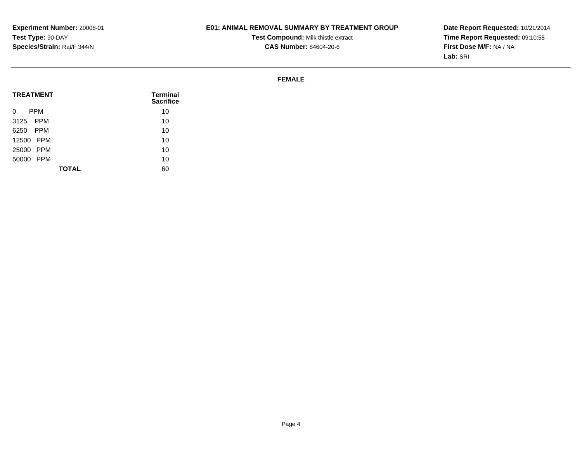# **E01: ANIMAL REMOVAL SUMMARY BY TREATMENT GROUP**

**Test Compound:** Milk thistle extract

**Date Report Requested:** 10/21/2014 **Time Report Requested:** 09:10:58**First Dose M/F:** NA / NA**Lab:** SRI

# **CAS Number:** 84604-20-6

#### **FEMALE**

| <b>TREATMENT</b>             | Terminal<br><b>Sacrifice</b> |
|------------------------------|------------------------------|
| <b>PPM</b><br>$\overline{0}$ | 10                           |
| 3125 PPM                     | 10                           |
| 6250 PPM                     | 10                           |
| 12500 PPM                    | 10                           |
| 25000 PPM                    | 10                           |
| 50000 PPM                    | 10                           |
| <b>TOTAL</b>                 | 60                           |